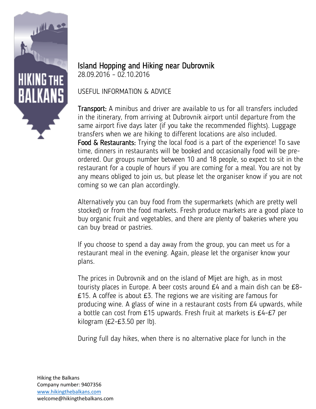

## Island Hopping and Hiking near Dubrovnik 28.09.2016 – 02.10.2016

USEFUL INFORMATION & ADVICE

**Transport:** A minibus and driver are available to us for all transfers included in the itinerary, from arriving at Dubrovnik airport until departure from the same airport five days later (if you take the recommended flights). Luggage transfers when we are hiking to different locations are also included. Food & Restaurants: Trying the local food is a part of the experience! To save time, dinners in restaurants will be booked and occasionally food will be preordered. Our groups number between 10 and 18 people, so expect to sit in the restaurant for a couple of hours if you are coming for a meal. You are not by any means obliged to join us, but please let the organiser know if you are not coming so we can plan accordingly.

Alternatively you can buy food from the supermarkets (which are pretty well stocked) or from the food markets. Fresh produce markets are a good place to buy organic fruit and vegetables, and there are plenty of bakeries where you can buy bread or pastries.

If you choose to spend a day away from the group, you can meet us for a restaurant meal in the evening. Again, please let the organiser know your plans.

The prices in Dubrovnik and on the island of Mljet are high, as in most touristy places in Europe. A beer costs around £4 and a main dish can be £8– £15. A coffee is about £3. The regions we are visiting are famous for producing wine. A glass of wine in a restaurant costs from £4 upwards, while a bottle can cost from £15 upwards. Fresh fruit at markets is £4–£7 per kilogram (£2–£3.50 per lb).

During full day hikes, when there is no alternative place for lunch in the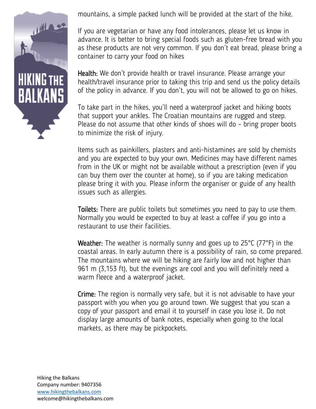

mountains, a simple packed lunch will be provided at the start of the hike.

If you are vegetarian or have any food intolerances, please let us know in advance. It is better to bring special foods such as gluten-free bread with you as these products are not very common. If you don't eat bread, please bring a container to carry your food on hikes

Health: We don't provide health or travel insurance. Please arrange your health/travel insurance prior to taking this trip and send us the policy details of the policy in advance. If you don't, you will not be allowed to go on hikes.

To take part in the hikes, you'll need a waterproof jacket and hiking boots that support your ankles. The Croatian mountains are rugged and steep. Please do not assume that other kinds of shoes will do – bring proper boots to minimize the risk of injury.

Items such as painkillers, plasters and anti-histamines are sold by chemists and you are expected to buy your own. Medicines may have different names from in the UK or might not be available without a prescription (even if you can buy them over the counter at home), so if you are taking medication please bring it with you. Please inform the organiser or guide of any health issues such as allergies.

Toilets: There are public toilets but sometimes you need to pay to use them. Normally you would be expected to buy at least a coffee if you go into a restaurant to use their facilities.

Weather: The weather is normally sunny and goes up to 25°C (77°F) in the coastal areas. In early autumn there is a possibility of rain, so come prepared. The mountains where we will be hiking are fairly low and not higher than 961 m (3,153 ft), but the evenings are cool and you will definitely need a warm fleece and a waterproof jacket.

Crime: The region is normally very safe, but it is not advisable to have your passport with you when you go around town. We suggest that you scan a copy of your passport and email it to yourself in case you lose it. Do not display large amounts of bank notes, especially when going to the local markets, as there may be pickpockets.